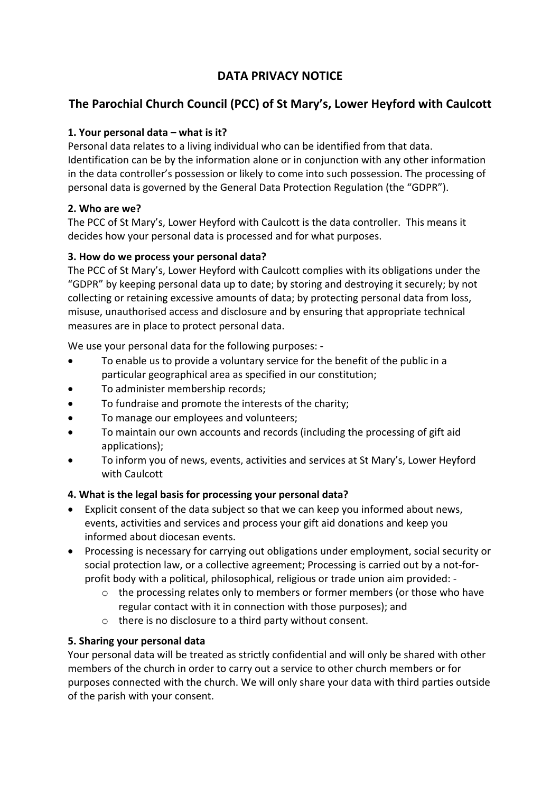## **DATA PRIVACY NOTICE**

# **The Parochial Church Council (PCC) of St Mary's, Lower Heyford with Caulcott**

#### **1. Your personal data – what is it?**

Personal data relates to a living individual who can be identified from that data. Identification can be by the information alone or in conjunction with any other information in the data controller's possession or likely to come into such possession. The processing of personal data is governed by the General Data Protection Regulation (the "GDPR").

#### **2. Who are we?**

The PCC of St Mary's, Lower Heyford with Caulcott is the data controller. This means it decides how your personal data is processed and for what purposes.

#### **3. How do we process your personal data?**

The PCC of St Mary's, Lower Heyford with Caulcott complies with its obligations under the "GDPR" by keeping personal data up to date; by storing and destroying it securely; by not collecting or retaining excessive amounts of data; by protecting personal data from loss, misuse, unauthorised access and disclosure and by ensuring that appropriate technical measures are in place to protect personal data.

We use your personal data for the following purposes: -

- To enable us to provide a voluntary service for the benefit of the public in a particular geographical area as specified in our constitution;
- To administer membership records;
- To fundraise and promote the interests of the charity;
- To manage our employees and volunteers;
- To maintain our own accounts and records (including the processing of gift aid applications);
- To inform you of news, events, activities and services at St Mary's, Lower Heyford with Caulcott

## **4. What is the legal basis for processing your personal data?**

- Explicit consent of the data subject so that we can keep you informed about news, events, activities and services and process your gift aid donations and keep you informed about diocesan events.
- Processing is necessary for carrying out obligations under employment, social security or social protection law, or a collective agreement; Processing is carried out by a not-forprofit body with a political, philosophical, religious or trade union aim provided:
	- o the processing relates only to members or former members (or those who have regular contact with it in connection with those purposes); and
	- o there is no disclosure to a third party without consent.

## **5. Sharing your personal data**

Your personal data will be treated as strictly confidential and will only be shared with other members of the church in order to carry out a service to other church members or for purposes connected with the church. We will only share your data with third parties outside of the parish with your consent.